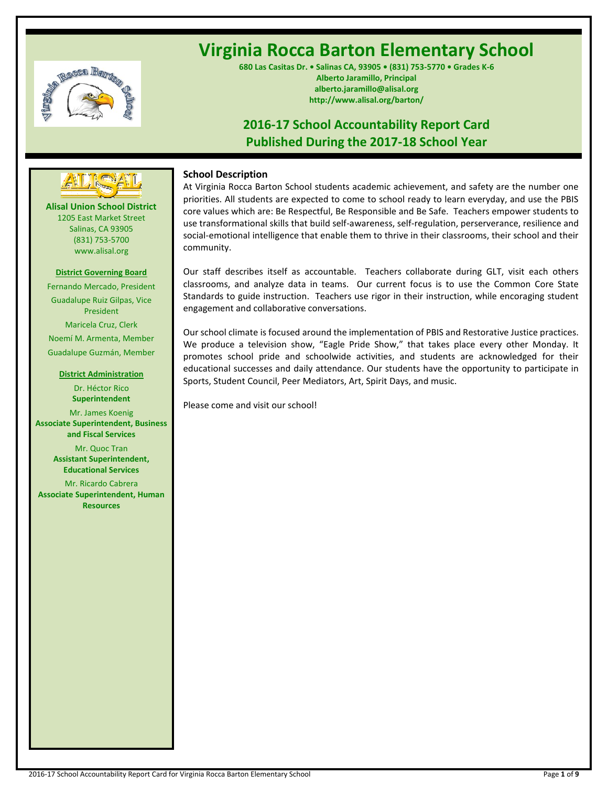

# **Virginia Rocca Barton Elementary School**

**680 Las Casitas Dr. • Salinas CA, 93905 • (831) 753-5770 • Grades K-6 Alberto Jaramillo, Principal alberto.jaramillo@alisal.org http://www.alisal.org/barton/**

# **2016-17 School Accountability Report Card Published During the 2017-18 School Year**



**Alisal Union School District** 1205 East Market Street Salinas, CA 93905 (831) 753-5700 www.alisal.org

#### **District Governing Board**

Fernando Mercado, President Guadalupe Ruiz Gilpas, Vice President Maricela Cruz, Clerk Noemí M. Armenta, Member Guadalupe Guzmán, Member

#### **District Administration**

Dr. Héctor Rico **Superintendent** Mr. James Koenig **Associate Superintendent, Business and Fiscal Services** Mr. Quoc Tran **Assistant Superintendent, Educational Services**

Mr. Ricardo Cabrera **Associate Superintendent, Human Resources**

# **School Description**

At Virginia Rocca Barton School students academic achievement, and safety are the number one priorities. All students are expected to come to school ready to learn everyday, and use the PBIS core values which are: Be Respectful, Be Responsible and Be Safe. Teachers empower students to use transformational skills that build self-awareness, self-regulation, perserverance, resilience and social-emotional intelligence that enable them to thrive in their classrooms, their school and their community.

Our staff describes itself as accountable. Teachers collaborate during GLT, visit each others classrooms, and analyze data in teams. Our current focus is to use the Common Core State Standards to guide instruction. Teachers use rigor in their instruction, while encoraging student engagement and collaborative conversations.

Our school climate is focused around the implementation of PBIS and Restorative Justice practices. We produce a television show, "Eagle Pride Show," that takes place every other Monday. It promotes school pride and schoolwide activities, and students are acknowledged for their educational successes and daily attendance. Our students have the opportunity to participate in Sports, Student Council, Peer Mediators, Art, Spirit Days, and music.

Please come and visit our school!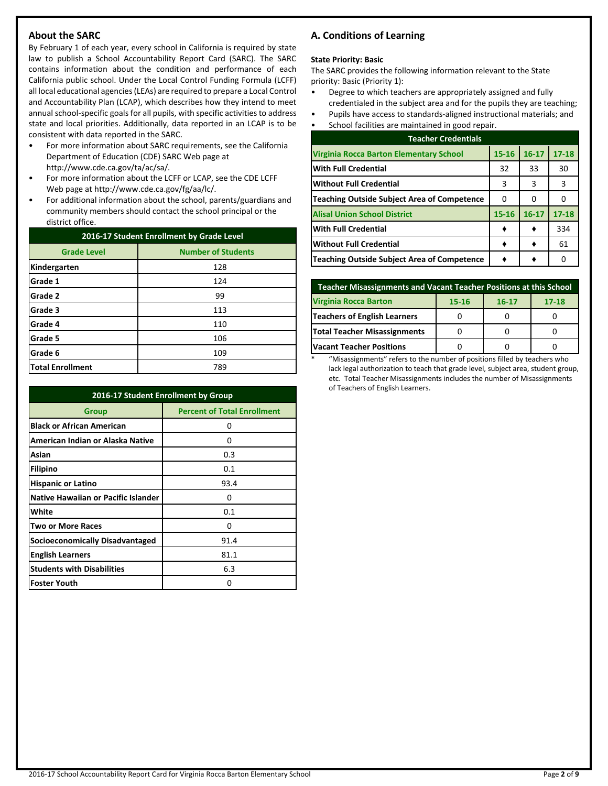# **About the SARC**

By February 1 of each year, every school in California is required by state law to publish a School Accountability Report Card (SARC). The SARC contains information about the condition and performance of each California public school. Under the Local Control Funding Formula (LCFF) all local educational agencies (LEAs) are required to prepare a Local Control and Accountability Plan (LCAP), which describes how they intend to meet annual school-specific goals for all pupils, with specific activities to address state and local priorities. Additionally, data reported in an LCAP is to be consistent with data reported in the SARC.

- For more information about SARC requirements, see the California Department of Education (CDE) SARC Web page at http://www.cde.ca.gov/ta/ac/sa/.
- For more information about the LCFF or LCAP, see the CDE LCFF Web page at http://www.cde.ca.gov/fg/aa/lc/.
- For additional information about the school, parents/guardians and community members should contact the school principal or the district office.

| 2016-17 Student Enrollment by Grade Level       |     |  |  |  |  |
|-------------------------------------------------|-----|--|--|--|--|
| <b>Number of Students</b><br><b>Grade Level</b> |     |  |  |  |  |
| Kindergarten                                    | 128 |  |  |  |  |
| Grade 1                                         | 124 |  |  |  |  |
| Grade 2                                         | 99  |  |  |  |  |
| Grade 3                                         | 113 |  |  |  |  |
| Grade 4                                         | 110 |  |  |  |  |
| Grade 5                                         | 106 |  |  |  |  |
| Grade 6                                         | 109 |  |  |  |  |
| <b>Total Enrollment</b>                         | 789 |  |  |  |  |

| 2016-17 Student Enrollment by Group        |                                    |  |  |  |
|--------------------------------------------|------------------------------------|--|--|--|
| Group                                      | <b>Percent of Total Enrollment</b> |  |  |  |
| <b>Black or African American</b>           | 0                                  |  |  |  |
| American Indian or Alaska Native           | 0                                  |  |  |  |
| Asian                                      | 0.3                                |  |  |  |
| Filipino                                   | 0.1                                |  |  |  |
| <b>Hispanic or Latino</b>                  | 93.4                               |  |  |  |
| <b>Native Hawaiian or Pacific Islander</b> | 0                                  |  |  |  |
| White                                      | 0.1                                |  |  |  |
| <b>Two or More Races</b>                   | 0                                  |  |  |  |
| <b>Socioeconomically Disadvantaged</b>     | 91.4                               |  |  |  |
| <b>English Learners</b>                    | 81.1                               |  |  |  |
| <b>Students with Disabilities</b>          | 6.3                                |  |  |  |
| <b>Foster Youth</b>                        | Ω                                  |  |  |  |

# **A. Conditions of Learning**

#### **State Priority: Basic**

The SARC provides the following information relevant to the State priority: Basic (Priority 1):

- Degree to which teachers are appropriately assigned and fully credentialed in the subject area and for the pupils they are teaching;
- Pupils have access to standards-aligned instructional materials; and
- School facilities are maintained in good repair.

| <b>Teacher Credentials</b>                         |           |           |           |  |  |  |
|----------------------------------------------------|-----------|-----------|-----------|--|--|--|
| Virginia Rocca Barton Elementary School            | $15 - 16$ | $16 - 17$ | $17 - 18$ |  |  |  |
| <b>With Full Credential</b>                        | 32        | 33        | 30        |  |  |  |
| Without Full Credential                            | 3         | 3         | 3         |  |  |  |
| <b>Teaching Outside Subject Area of Competence</b> | 0         | 0         |           |  |  |  |
| <b>Alisal Union School District</b>                | $15 - 16$ | $16 - 17$ | $17 - 18$ |  |  |  |
| <b>With Full Credential</b>                        |           |           | 334       |  |  |  |
| <b>Without Full Credential</b>                     |           |           | 61        |  |  |  |
| Teaching Outside Subject Area of Competence        |           |           | n         |  |  |  |

| Teacher Misassignments and Vacant Teacher Positions at this School |  |  |  |  |  |  |  |  |
|--------------------------------------------------------------------|--|--|--|--|--|--|--|--|
| <b>Virginia Rocca Barton</b><br>$17 - 18$<br>15-16<br>$16 - 17$    |  |  |  |  |  |  |  |  |
| <b>Teachers of English Learners</b>                                |  |  |  |  |  |  |  |  |
| Total Teacher Misassignments                                       |  |  |  |  |  |  |  |  |
| <b>Vacant Teacher Positions</b>                                    |  |  |  |  |  |  |  |  |

\* "Misassignments" refers to the number of positions filled by teachers who lack legal authorization to teach that grade level, subject area, student group, etc. Total Teacher Misassignments includes the number of Misassignments of Teachers of English Learners.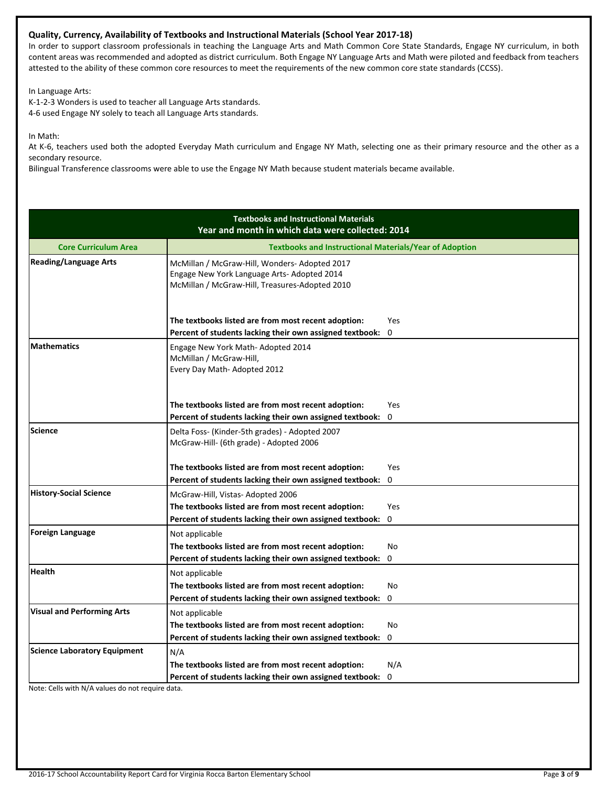# **Quality, Currency, Availability of Textbooks and Instructional Materials (School Year 2017-18)**

In order to support classroom professionals in teaching the Language Arts and Math Common Core State Standards, Engage NY curriculum, in both content areas was recommended and adopted as district curriculum. Both Engage NY Language Arts and Math were piloted and feedback from teachers attested to the ability of these common core resources to meet the requirements of the new common core state standards (CCSS).

In Language Arts:

K-1-2-3 Wonders is used to teacher all Language Arts standards. 4-6 used Engage NY solely to teach all Language Arts standards.

In Math:

At K-6, teachers used both the adopted Everyday Math curriculum and Engage NY Math, selecting one as their primary resource and the other as a secondary resource.

Bilingual Transference classrooms were able to use the Engage NY Math because student materials became available.

|                                     | <b>Textbooks and Instructional Materials</b><br>Year and month in which data were collected: 2014                                             |              |
|-------------------------------------|-----------------------------------------------------------------------------------------------------------------------------------------------|--------------|
| <b>Core Curriculum Area</b>         | <b>Textbooks and Instructional Materials/Year of Adoption</b>                                                                                 |              |
| <b>Reading/Language Arts</b>        | McMillan / McGraw-Hill, Wonders-Adopted 2017<br>Engage New York Language Arts- Adopted 2014<br>McMillan / McGraw-Hill, Treasures-Adopted 2010 |              |
|                                     | The textbooks listed are from most recent adoption:                                                                                           | Yes          |
|                                     | Percent of students lacking their own assigned textbook:                                                                                      | $\mathbf{0}$ |
| <b>Mathematics</b>                  | Engage New York Math-Adopted 2014<br>McMillan / McGraw-Hill,<br>Every Day Math- Adopted 2012                                                  |              |
|                                     | The textbooks listed are from most recent adoption:                                                                                           | Yes          |
|                                     | Percent of students lacking their own assigned textbook:                                                                                      | 0            |
| <b>Science</b>                      | Delta Foss- (Kinder-5th grades) - Adopted 2007<br>McGraw-Hill- (6th grade) - Adopted 2006                                                     |              |
|                                     | The textbooks listed are from most recent adoption:                                                                                           | Yes          |
|                                     | Percent of students lacking their own assigned textbook:                                                                                      | 0            |
| <b>History-Social Science</b>       | McGraw-Hill, Vistas-Adopted 2006                                                                                                              |              |
|                                     | The textbooks listed are from most recent adoption:                                                                                           | Yes          |
|                                     | Percent of students lacking their own assigned textbook:                                                                                      | $\Omega$     |
| <b>Foreign Language</b>             | Not applicable                                                                                                                                |              |
|                                     | The textbooks listed are from most recent adoption:                                                                                           | <b>No</b>    |
|                                     | Percent of students lacking their own assigned textbook:                                                                                      | $\mathbf 0$  |
| Health                              | Not applicable                                                                                                                                |              |
|                                     | The textbooks listed are from most recent adoption:                                                                                           | No           |
|                                     | Percent of students lacking their own assigned textbook:                                                                                      | 0            |
| <b>Visual and Performing Arts</b>   | Not applicable                                                                                                                                |              |
|                                     | The textbooks listed are from most recent adoption:                                                                                           | No           |
|                                     | Percent of students lacking their own assigned textbook:                                                                                      | 0            |
| <b>Science Laboratory Equipment</b> | N/A                                                                                                                                           |              |
|                                     | The textbooks listed are from most recent adoption:                                                                                           | N/A          |
|                                     | Percent of students lacking their own assigned textbook:                                                                                      | 0            |

Note: Cells with N/A values do not require data.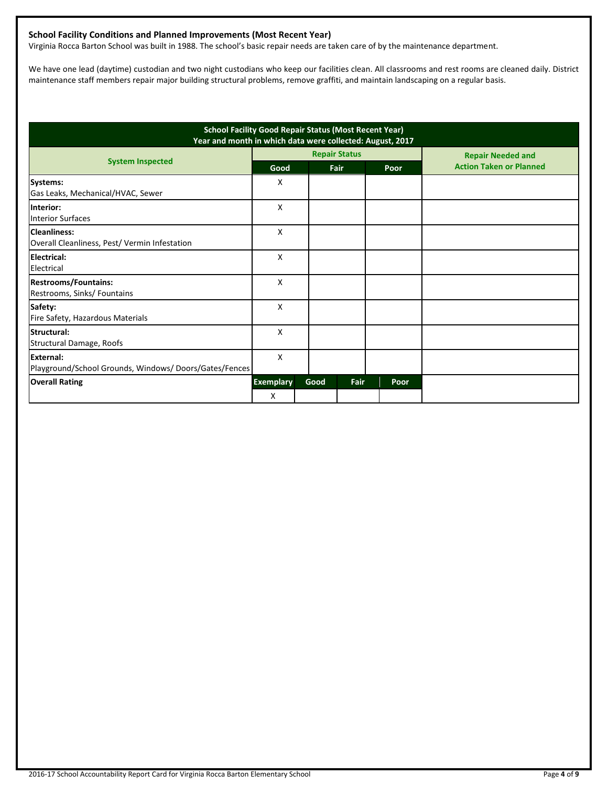# **School Facility Conditions and Planned Improvements (Most Recent Year)**

Virginia Rocca Barton School was built in 1988. The school's basic repair needs are taken care of by the maintenance department.

We have one lead (daytime) custodian and two night custodians who keep our facilities clean. All classrooms and rest rooms are cleaned daily. District maintenance staff members repair major building structural problems, remove graffiti, and maintain landscaping on a regular basis.

| <b>School Facility Good Repair Status (Most Recent Year)</b><br>Year and month in which data were collected: August, 2017 |                  |      |                      |      |                                |
|---------------------------------------------------------------------------------------------------------------------------|------------------|------|----------------------|------|--------------------------------|
| <b>System Inspected</b>                                                                                                   |                  |      | <b>Repair Status</b> |      | <b>Repair Needed and</b>       |
|                                                                                                                           | Good             |      | Fair                 | Poor | <b>Action Taken or Planned</b> |
| <b>Systems:</b><br>Gas Leaks, Mechanical/HVAC, Sewer                                                                      | X                |      |                      |      |                                |
| Interior:<br><b>Interior Surfaces</b>                                                                                     | X                |      |                      |      |                                |
| <b>Cleanliness:</b><br>Overall Cleanliness, Pest/ Vermin Infestation                                                      | X                |      |                      |      |                                |
| Electrical:<br>Electrical                                                                                                 | X                |      |                      |      |                                |
| <b>Restrooms/Fountains:</b><br>Restrooms, Sinks/ Fountains                                                                | X                |      |                      |      |                                |
| Safety:<br>Fire Safety, Hazardous Materials                                                                               | X                |      |                      |      |                                |
| Structural:<br>Structural Damage, Roofs                                                                                   | X                |      |                      |      |                                |
| External:<br>Playground/School Grounds, Windows/Doors/Gates/Fences                                                        | X                |      |                      |      |                                |
| <b>Overall Rating</b>                                                                                                     | <b>Exemplary</b> | Good | Fair                 | Poor |                                |
|                                                                                                                           | X                |      |                      |      |                                |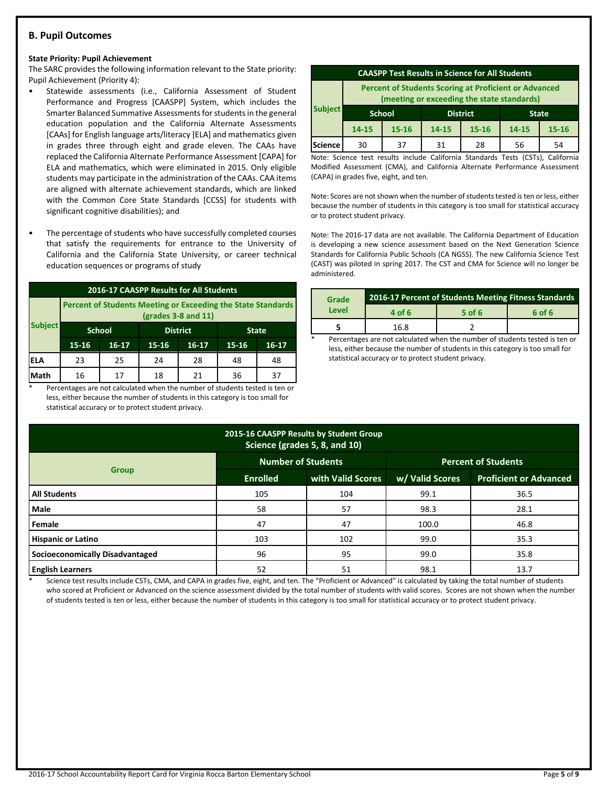# **B. Pupil Outcomes**

#### **State Priority: Pupil Achievement**

The SARC provides the following information relevant to the State priority: Pupil Achievement (Priority 4):

- Statewide assessments (i.e., California Assessment of Student Performance and Progress [CAASPP] System, which includes the Smarter Balanced Summative Assessments for students in the general education population and the California Alternate Assessments [CAAs] for English language arts/literacy [ELA] and mathematics given in grades three through eight and grade eleven. The CAAs have replaced the California Alternate Performance Assessment [CAPA] for ELA and mathematics, which were eliminated in 2015. Only eligible students may participate in the administration of the CAAs. CAA items are aligned with alternate achievement standards, which are linked with the Common Core State Standards [CCSS] for students with significant cognitive disabilities); and
- The percentage of students who have successfully completed courses that satisfy the requirements for entrance to the University of California and the California State University, or career technical education sequences or programs of study

| 2016-17 CAASPP Results for All Students |                                                                                              |                                  |    |    |              |         |  |
|-----------------------------------------|----------------------------------------------------------------------------------------------|----------------------------------|----|----|--------------|---------|--|
|                                         | <b>Percent of Students Meeting or Exceeding the State Standards</b><br>$(grades 3-8 and 11)$ |                                  |    |    |              |         |  |
| <b>Subject</b>                          |                                                                                              | <b>District</b><br><b>School</b> |    |    | <b>State</b> |         |  |
|                                         | $15 - 16$<br>$16-17$<br>15-16<br>$16-17$                                                     |                                  |    |    |              | $16-17$ |  |
| ELA                                     | 23                                                                                           | 25                               | 24 | 28 | 48           | 48      |  |
| Math                                    | 16                                                                                           | 17                               | 18 | 21 | 36           | 37      |  |

Percentages are not calculated when the number of students tested is ten or less, either because the number of students in this category is too small for statistical accuracy or to protect student privacy.

| <b>CAASPP Test Results in Science for All Students</b>                                                     |                                                  |           |                                          |    |    |    |
|------------------------------------------------------------------------------------------------------------|--------------------------------------------------|-----------|------------------------------------------|----|----|----|
| <b>Percent of Students Scoring at Proficient or Advanced</b><br>(meeting or exceeding the state standards) |                                                  |           |                                          |    |    |    |
| <b>Subject</b>                                                                                             | <b>District</b><br><b>School</b><br><b>State</b> |           |                                          |    |    |    |
|                                                                                                            | $14 - 15$                                        | $15 - 16$ | 14-15<br>$15 - 16$<br>14-15<br>$15 - 16$ |    |    |    |
| Science                                                                                                    | 30                                               | 37        | 31                                       | 28 | 56 | 54 |

Note: Science test results include California Standards Tests (CSTs), California Modified Assessment (CMA), and California Alternate Performance Assessment (CAPA) in grades five, eight, and ten.

Note: Scores are not shown when the number of students tested is ten or less, either because the number of students in this category is too small for statistical accuracy or to protect student privacy.

Note: The 2016-17 data are not available. The California Department of Education is developing a new science assessment based on the Next Generation Science Standards for California Public Schools (CA NGSS). The new California Science Test (CAST) was piloted in spring 2017. The CST and CMA for Science will no longer be administered.

| Grade | 2016-17 Percent of Students Meeting Fitness Standards |          |        |  |  |
|-------|-------------------------------------------------------|----------|--------|--|--|
| Level | 4 of 6                                                | $5$ of 6 | 6 of 6 |  |  |
|       | 16.8                                                  |          |        |  |  |

Percentages are not calculated when the number of students tested is ten or less, either because the number of students in this category is too small for statistical accuracy or to protect student privacy.

| 2015-16 CAASPP Results by Student Group<br>Science (grades 5, 8, and 10) |                           |                   |                            |                               |  |  |  |
|--------------------------------------------------------------------------|---------------------------|-------------------|----------------------------|-------------------------------|--|--|--|
|                                                                          | <b>Number of Students</b> |                   | <b>Percent of Students</b> |                               |  |  |  |
| <b>Group</b>                                                             | <b>Enrolled</b>           | with Valid Scores | w/ Valid Scores            | <b>Proficient or Advanced</b> |  |  |  |
| <b>All Students</b>                                                      | 105                       | 104               | 99.1                       | 36.5                          |  |  |  |
| <b>Male</b>                                                              | 58                        | 57                | 98.3                       | 28.1                          |  |  |  |
| Female                                                                   | 47                        | 47                | 100.0                      | 46.8                          |  |  |  |
| <b>Hispanic or Latino</b>                                                | 103                       | 102               | 99.0                       | 35.3                          |  |  |  |
| Socioeconomically Disadvantaged                                          | 96                        | 95                | 99.0                       | 35.8                          |  |  |  |
| <b>English Learners</b>                                                  | 52                        | 51                | 98.1                       | 13.7                          |  |  |  |

Science test results include CSTs, CMA, and CAPA in grades five, eight, and ten. The "Proficient or Advanced" is calculated by taking the total number of students who scored at Proficient or Advanced on the science assessment divided by the total number of students with valid scores. Scores are not shown when the number of students tested is ten or less, either because the number of students in this category is too small for statistical accuracy or to protect student privacy.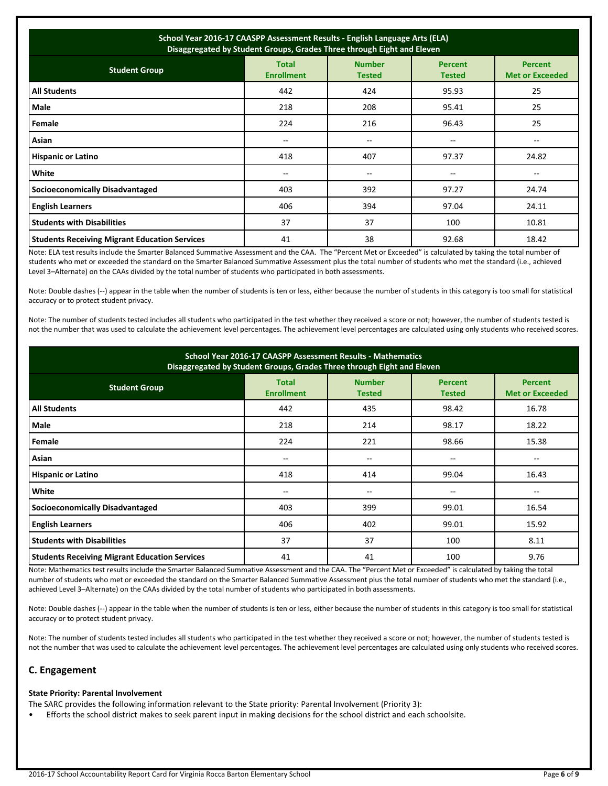| School Year 2016-17 CAASPP Assessment Results - English Language Arts (ELA)<br>Disaggregated by Student Groups, Grades Three through Eight and Eleven |                                   |                                |                                 |                                          |  |
|-------------------------------------------------------------------------------------------------------------------------------------------------------|-----------------------------------|--------------------------------|---------------------------------|------------------------------------------|--|
| <b>Student Group</b>                                                                                                                                  | <b>Total</b><br><b>Enrollment</b> | <b>Number</b><br><b>Tested</b> | <b>Percent</b><br><b>Tested</b> | <b>Percent</b><br><b>Met or Exceeded</b> |  |
| <b>All Students</b>                                                                                                                                   | 442                               | 424                            | 95.93                           | 25                                       |  |
| Male                                                                                                                                                  | 218                               | 208                            | 95.41                           | 25                                       |  |
| Female                                                                                                                                                | 224                               | 216                            | 96.43                           | 25                                       |  |
| Asian                                                                                                                                                 | $- -$                             | --                             | $- -$                           | $-$                                      |  |
| <b>Hispanic or Latino</b>                                                                                                                             | 418                               | 407                            | 97.37                           | 24.82                                    |  |
| White                                                                                                                                                 | $- -$                             | --                             |                                 |                                          |  |
| Socioeconomically Disadvantaged                                                                                                                       | 403                               | 392                            | 97.27                           | 24.74                                    |  |
| <b>English Learners</b>                                                                                                                               | 406                               | 394                            | 97.04                           | 24.11                                    |  |
| <b>Students with Disabilities</b>                                                                                                                     | 37                                | 37                             | 100                             | 10.81                                    |  |
| <b>Students Receiving Migrant Education Services</b>                                                                                                  | 41                                | 38                             | 92.68                           | 18.42                                    |  |

Note: ELA test results include the Smarter Balanced Summative Assessment and the CAA. The "Percent Met or Exceeded" is calculated by taking the total number of students who met or exceeded the standard on the Smarter Balanced Summative Assessment plus the total number of students who met the standard (i.e., achieved Level 3–Alternate) on the CAAs divided by the total number of students who participated in both assessments.

Note: Double dashes (--) appear in the table when the number of students is ten or less, either because the number of students in this category is too small for statistical accuracy or to protect student privacy.

Note: The number of students tested includes all students who participated in the test whether they received a score or not; however, the number of students tested is not the number that was used to calculate the achievement level percentages. The achievement level percentages are calculated using only students who received scores.

| School Year 2016-17 CAASPP Assessment Results - Mathematics<br>Disaggregated by Student Groups, Grades Three through Eight and Eleven |                                   |                                |                                 |                                          |  |  |
|---------------------------------------------------------------------------------------------------------------------------------------|-----------------------------------|--------------------------------|---------------------------------|------------------------------------------|--|--|
| <b>Student Group</b>                                                                                                                  | <b>Total</b><br><b>Enrollment</b> | <b>Number</b><br><b>Tested</b> | <b>Percent</b><br><b>Tested</b> | <b>Percent</b><br><b>Met or Exceeded</b> |  |  |
| <b>All Students</b>                                                                                                                   | 442                               | 435                            | 98.42                           | 16.78                                    |  |  |
| Male                                                                                                                                  | 218                               | 214                            | 98.17                           | 18.22                                    |  |  |
| Female                                                                                                                                | 224                               | 221                            | 98.66                           | 15.38                                    |  |  |
| Asian                                                                                                                                 | $- -$                             | $\overline{\phantom{m}}$       | --                              | --                                       |  |  |
| <b>Hispanic or Latino</b>                                                                                                             | 418                               | 414                            | 99.04                           | 16.43                                    |  |  |
| White                                                                                                                                 | $- -$                             | $\overline{\phantom{m}}$       | $- -$                           | --                                       |  |  |
| <b>Socioeconomically Disadvantaged</b>                                                                                                | 403                               | 399                            | 99.01                           | 16.54                                    |  |  |
| <b>English Learners</b>                                                                                                               | 406                               | 402                            | 99.01                           | 15.92                                    |  |  |
| <b>Students with Disabilities</b>                                                                                                     | 37                                | 37                             | 100                             | 8.11                                     |  |  |
| <b>Students Receiving Migrant Education Services</b>                                                                                  | 41                                | 41                             | 100                             | 9.76                                     |  |  |

Note: Mathematics test results include the Smarter Balanced Summative Assessment and the CAA. The "Percent Met or Exceeded" is calculated by taking the total number of students who met or exceeded the standard on the Smarter Balanced Summative Assessment plus the total number of students who met the standard (i.e., achieved Level 3–Alternate) on the CAAs divided by the total number of students who participated in both assessments.

Note: Double dashes (--) appear in the table when the number of students is ten or less, either because the number of students in this category is too small for statistical accuracy or to protect student privacy.

Note: The number of students tested includes all students who participated in the test whether they received a score or not; however, the number of students tested is not the number that was used to calculate the achievement level percentages. The achievement level percentages are calculated using only students who received scores.

# **C. Engagement**

#### **State Priority: Parental Involvement**

The SARC provides the following information relevant to the State priority: Parental Involvement (Priority 3):

• Efforts the school district makes to seek parent input in making decisions for the school district and each schoolsite.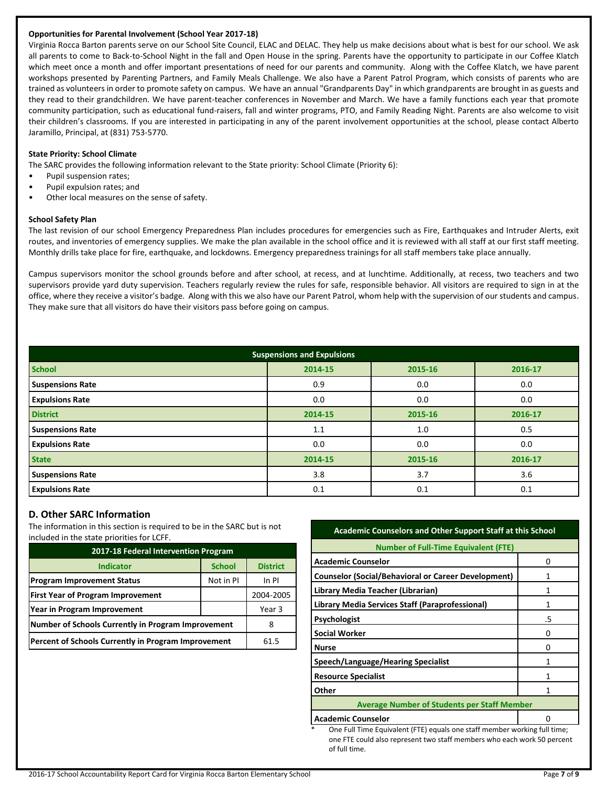### **Opportunities for Parental Involvement (School Year 2017-18)**

Virginia Rocca Barton parents serve on our School Site Council, ELAC and DELAC. They help us make decisions about what is best for our school. We ask all parents to come to Back-to-School Night in the fall and Open House in the spring. Parents have the opportunity to participate in our Coffee Klatch which meet once a month and offer important presentations of need for our parents and community. Along with the Coffee Klatch, we have parent workshops presented by Parenting Partners, and Family Meals Challenge. We also have a Parent Patrol Program, which consists of parents who are trained as volunteers in order to promote safety on campus. We have an annual "Grandparents Day" in which grandparents are brought in as guests and they read to their grandchildren. We have parent-teacher conferences in November and March. We have a family functions each year that promote community participation, such as educational fund-raisers, fall and winter programs, PTO, and Family Reading Night. Parents are also welcome to visit their children's classrooms. If you are interested in participating in any of the parent involvement opportunities at the school, please contact Alberto Jaramillo, Principal, at (831) 753-5770.

#### **State Priority: School Climate**

The SARC provides the following information relevant to the State priority: School Climate (Priority 6):

- Pupil suspension rates;
- Pupil expulsion rates; and
- Other local measures on the sense of safety.

#### **School Safety Plan**

The last revision of our school Emergency Preparedness Plan includes procedures for emergencies such as Fire, Earthquakes and Intruder Alerts, exit routes, and inventories of emergency supplies. We make the plan available in the school office and it is reviewed with all staff at our first staff meeting. Monthly drills take place for fire, earthquake, and lockdowns. Emergency preparedness trainings for all staff members take place annually.

Campus supervisors monitor the school grounds before and after school, at recess, and at lunchtime. Additionally, at recess, two teachers and two supervisors provide yard duty supervision. Teachers regularly review the rules for safe, responsible behavior. All visitors are required to sign in at the office, where they receive a visitor's badge. Along with this we also have our Parent Patrol, whom help with the supervision of our students and campus. They make sure that all visitors do have their visitors pass before going on campus.

| <b>Suspensions and Expulsions</b> |                    |         |         |  |  |  |  |
|-----------------------------------|--------------------|---------|---------|--|--|--|--|
| <b>School</b>                     | 2014-15            | 2015-16 | 2016-17 |  |  |  |  |
| <b>Suspensions Rate</b>           | 0.9                | 0.0     | 0.0     |  |  |  |  |
| <b>Expulsions Rate</b>            | 0.0                | 0.0     | 0.0     |  |  |  |  |
| <b>District</b>                   | 2014-15            | 2015-16 | 2016-17 |  |  |  |  |
| <b>Suspensions Rate</b>           | 1.1                | 1.0     | 0.5     |  |  |  |  |
| <b>Expulsions Rate</b>            | 0.0                | 0.0     | 0.0     |  |  |  |  |
| <b>State</b>                      | 2014-15<br>2015-16 |         | 2016-17 |  |  |  |  |
| <b>Suspensions Rate</b>           | 3.8                | 3.7     | 3.6     |  |  |  |  |
| <b>Expulsions Rate</b>            | 0.1                | 0.1     | 0.1     |  |  |  |  |

# **D. Other SARC Information**

The information in this section is required to be in the SARC but is not included in the state priorities for LCFF.

| 2017-18 Federal Intervention Program                |               |                 |  |  |  |  |
|-----------------------------------------------------|---------------|-----------------|--|--|--|--|
| <b>Indicator</b>                                    | <b>School</b> | <b>District</b> |  |  |  |  |
| <b>Program Improvement Status</b>                   | Not in PI     | In PI           |  |  |  |  |
| <b>First Year of Program Improvement</b>            |               | 2004-2005       |  |  |  |  |
| Year in Program Improvement                         | Year 3        |                 |  |  |  |  |
| Number of Schools Currently in Program Improvement  | 8             |                 |  |  |  |  |
| Percent of Schools Currently in Program Improvement | 61.5          |                 |  |  |  |  |

# **Academic Counselors and Other Support Staff at this School**

| <b>Number of Full-Time Equivalent (FTE)</b>                |    |  |  |  |
|------------------------------------------------------------|----|--|--|--|
| <b>Academic Counselor</b>                                  | n  |  |  |  |
| <b>Counselor (Social/Behavioral or Career Development)</b> |    |  |  |  |
| Library Media Teacher (Librarian)                          | 1  |  |  |  |
| Library Media Services Staff (Paraprofessional)            | 1  |  |  |  |
| <b>Psychologist</b>                                        | .5 |  |  |  |
| <b>Social Worker</b>                                       | O  |  |  |  |
| <b>Nurse</b>                                               | O  |  |  |  |
| Speech/Language/Hearing Specialist                         |    |  |  |  |
| <b>Resource Specialist</b>                                 |    |  |  |  |
| Other                                                      |    |  |  |  |
| <b>Average Number of Students per Staff Member</b>         |    |  |  |  |
| <b>Academic Counselor</b>                                  |    |  |  |  |

One Full Time Equivalent (FTE) equals one staff member working full time; one FTE could also represent two staff members who each work 50 percent of full time.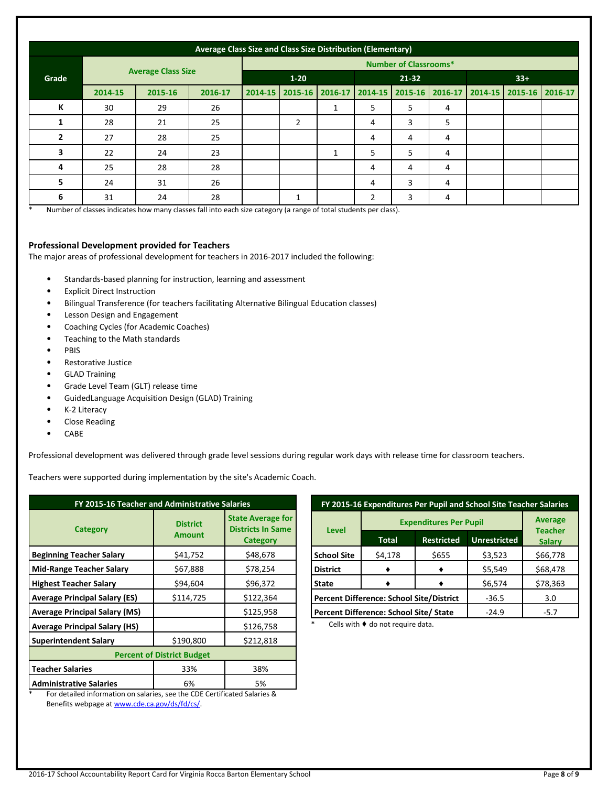|                | Average Class Size and Class Size Distribution (Elementary) |         |                              |         |   |                 |   |                         |   |             |                 |  |
|----------------|-------------------------------------------------------------|---------|------------------------------|---------|---|-----------------|---|-------------------------|---|-------------|-----------------|--|
|                |                                                             |         | <b>Number of Classrooms*</b> |         |   |                 |   |                         |   |             |                 |  |
| Grade          | <b>Average Class Size</b>                                   |         | $1 - 20$                     |         |   | $21 - 32$       |   | $33+$                   |   |             |                 |  |
|                | 2014-15                                                     | 2015-16 | 2016-17                      | 2014-15 |   | 2015-16 2016-17 |   | 2014-15 2015-16 2016-17 |   | $2014 - 15$ | 2015-16 2016-17 |  |
| К              | 30                                                          | 29      | 26                           |         |   | 1               | 5 | 5                       | 4 |             |                 |  |
| 1              | 28                                                          | 21      | 25                           |         | 2 |                 | 4 | 3                       | 5 |             |                 |  |
| $\overline{2}$ | 27                                                          | 28      | 25                           |         |   |                 | 4 | 4                       | 4 |             |                 |  |
| 3              | 22                                                          | 24      | 23                           |         |   | 1               | 5 | 5                       | 4 |             |                 |  |
| 4              | 25                                                          | 28      | 28                           |         |   |                 | 4 | 4                       | 4 |             |                 |  |
| 5              | 24                                                          | 31      | 26                           |         |   |                 | 4 | 3                       | 4 |             |                 |  |
| 6              | 31                                                          | 24      | 28                           |         | 1 |                 | 2 | 3                       | 4 |             |                 |  |

Number of classes indicates how many classes fall into each size category (a range of total students per class).

#### **Professional Development provided for Teachers**

The major areas of professional development for teachers in 2016-2017 included the following:

- Standards-based planning for instruction, learning and assessment
- Explicit Direct Instruction
- Bilingual Transference (for teachers facilitating Alternative Bilingual Education classes)
- Lesson Design and Engagement
- Coaching Cycles (for Academic Coaches)
- Teaching to the Math standards
- PBIS
- Restorative Justice
- GLAD Training
- Grade Level Team (GLT) release time
- GuidedLanguage Acquisition Design (GLAD) Training
- K-2 Literacy
- Close Reading
- CABE

Professional development was delivered through grade level sessions during regular work days with release time for classroom teachers.

Teachers were supported during implementation by the site's Academic Coach.

| FY 2015-16 Teacher and Administrative Salaries                                                                                                  |                                  |                                                                         |  |  |  |
|-------------------------------------------------------------------------------------------------------------------------------------------------|----------------------------------|-------------------------------------------------------------------------|--|--|--|
| <b>Category</b>                                                                                                                                 | <b>District</b><br><b>Amount</b> | <b>State Average for</b><br><b>Districts In Same</b><br><b>Category</b> |  |  |  |
| <b>Beginning Teacher Salary</b>                                                                                                                 | \$41,752                         | \$48,678                                                                |  |  |  |
| <b>Mid-Range Teacher Salary</b>                                                                                                                 | \$67,888                         | \$78,254                                                                |  |  |  |
| <b>Highest Teacher Salary</b>                                                                                                                   | \$94,604                         | \$96,372                                                                |  |  |  |
| <b>Average Principal Salary (ES)</b>                                                                                                            | \$114,725                        | \$122,364                                                               |  |  |  |
| <b>Average Principal Salary (MS)</b>                                                                                                            |                                  | \$125,958                                                               |  |  |  |
| <b>Average Principal Salary (HS)</b>                                                                                                            |                                  | \$126,758                                                               |  |  |  |
| <b>Superintendent Salary</b>                                                                                                                    | \$190,800                        | \$212,818                                                               |  |  |  |
| <b>Percent of District Budget</b>                                                                                                               |                                  |                                                                         |  |  |  |
| <b>Teacher Salaries</b>                                                                                                                         | 33%                              | 38%                                                                     |  |  |  |
| <b>Administrative Salaries</b><br>$\mathbf{r}$ . The set of the function of the set of the set of the set of the set of the set of $\mathbf{r}$ | 6%                               | 5%                                                                      |  |  |  |

**FY 2015-16 Expenditures Per Pupil and School Site Teacher Salaries Level Expenditures Per Pupil Average Teacher Total Restricted Unrestricted Salary School Site- District**  $$4,178$   $$655$   $$3,523$  \$66,778 **-**  $\bullet$   $\bullet$   $\bullet$  \$5,549 \$68,478  $\bullet$  **|**  $\bullet$  | \$6,574 | \$78,363 **Percent Difference: School Site/District | -36.5 | 3.0 Percent Difference: School Site/ State** | -24.9 | -5.7

Cells with  $\blacklozenge$  do not require data.

\* For detailed information on salaries, see the CDE Certificated Salaries & Benefits webpage a[t www.cde.ca.gov/ds/fd/cs/.](http://www.cde.ca.gov/ds/fd/cs/)